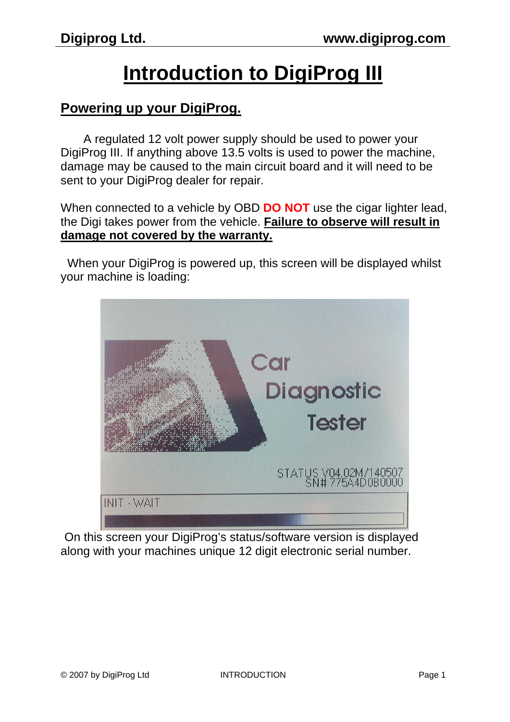# **Introduction to DigiProg III**

#### **Powering up your DigiProg.**

A regulated 12 volt power supply should be used to power your DigiProg III. If anything above 13.5 volts is used to power the machine, damage may be caused to the main circuit board and it will need to be sent to your DigiProg dealer for repair.

When connected to a vehicle by OBD **DO NOT** use the cigar lighter lead, the Digi takes power from the vehicle. **Failure to observe will result in damage not covered by the warranty.**

 When your DigiProg is powered up, this screen will be displayed whilst your machine is loading:



On this screen your DigiProg's status/software version is displayed along with your machines unique 12 digit electronic serial number.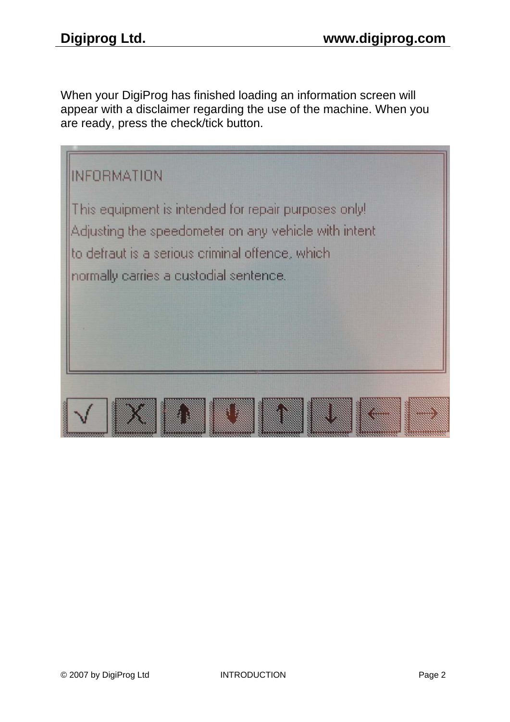When your DigiProg has finished loading an information screen will appear with a disclaimer regarding the use of the machine. When you are ready, press the check/tick button.

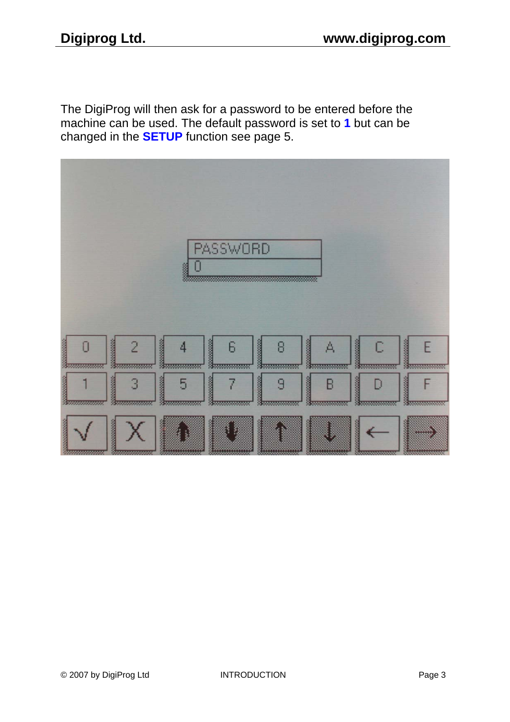The DigiProg will then ask for a password to be entered before the machine can be used. The default password is set to **1** but can be changed in the **SETUP** function see page 5.

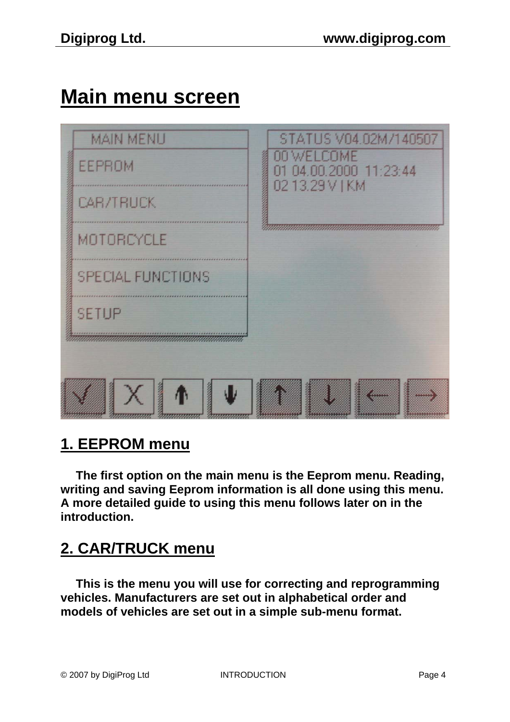# **Main menu screen**



### **1. EEPROM menu**

 **The first option on the main menu is the Eeprom menu. Reading, writing and saving Eeprom information is all done using this menu. A more detailed guide to using this menu follows later on in the introduction.** 

# **2. CAR/TRUCK menu**

 **This is the menu you will use for correcting and reprogramming vehicles. Manufacturers are set out in alphabetical order and models of vehicles are set out in a simple sub-menu format.**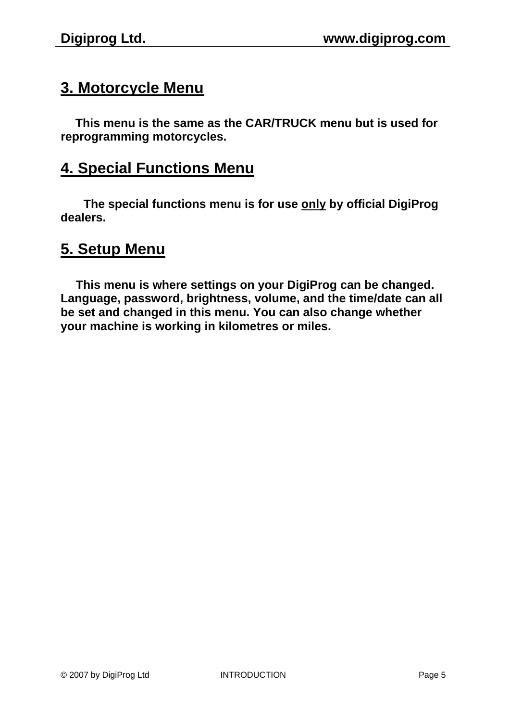## **3. Motorcycle Menu**

 **This menu is the same as the CAR/TRUCK menu but is used for reprogramming motorcycles.** 

# **4. Special Functions Menu**

 **The special functions menu is for use only by official DigiProg dealers.** 

#### **5. Setup Menu**

 **This menu is where settings on your DigiProg can be changed. Language, password, brightness, volume, and the time/date can all be set and changed in this menu. You can also change whether your machine is working in kilometres or miles.**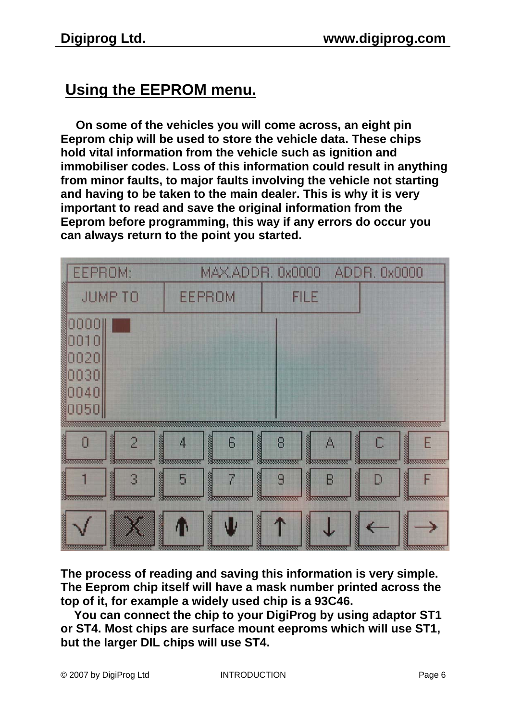## **Using the EEPROM menu.**

 **On some of the vehicles you will come across, an eight pin Eeprom chip will be used to store the vehicle data. These chips hold vital information from the vehicle such as ignition and immobiliser codes. Loss of this information could result in anything from minor faults, to major faults involving the vehicle not starting and having to be taken to the main dealer. This is why it is very important to read and save the original information from the Eeprom before programming, this way if any errors do occur you can always return to the point you started.** 



**The process of reading and saving this information is very simple. The Eeprom chip itself will have a mask number printed across the top of it, for example a widely used chip is a 93C46.** 

 **You can connect the chip to your DigiProg by using adaptor ST1 or ST4. Most chips are surface mount eeproms which will use ST1, but the larger DIL chips will use ST4.**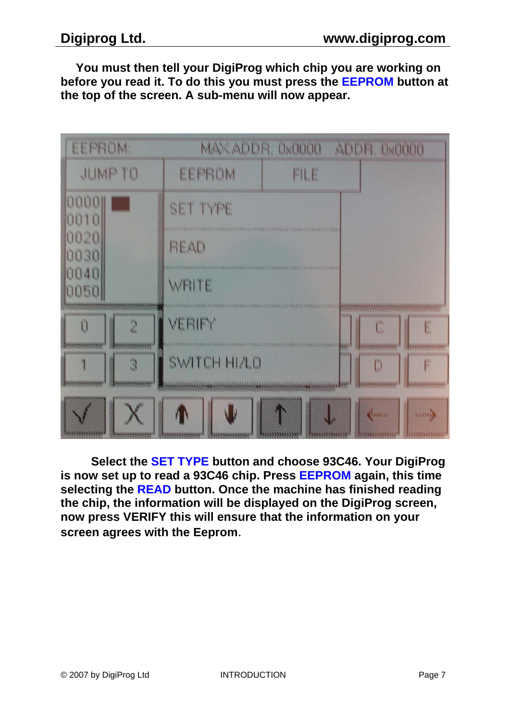**You must then tell your DigiProg which chip you are working on before you read it. To do this you must press the EEPROM button at the top of the screen. A sub-menu will now appear.** 



 **Select the SET TYPE button and choose 93C46. Your DigiProg is now set up to read a 93C46 chip. Press EEPROM again, this time selecting the READ button. Once the machine has finished reading the chip, the information will be displayed on the DigiProg screen, now press VERIFY this will ensure that the information on your screen agrees with the Eeprom**.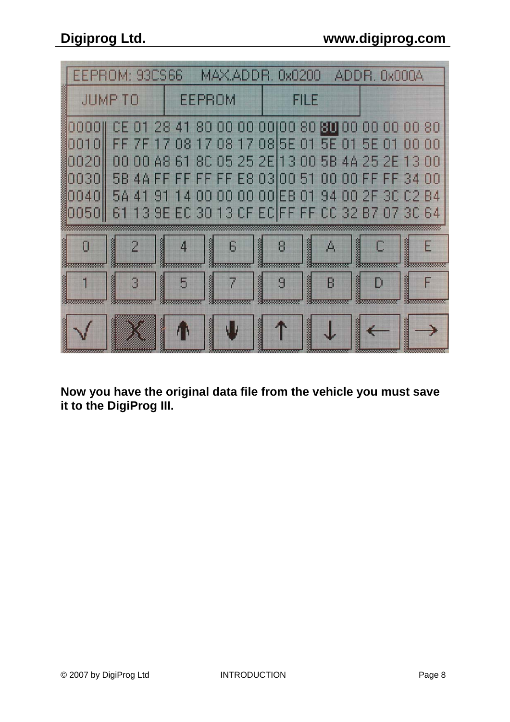

**Now you have the original data file from the vehicle you must save it to the DigiProg III.**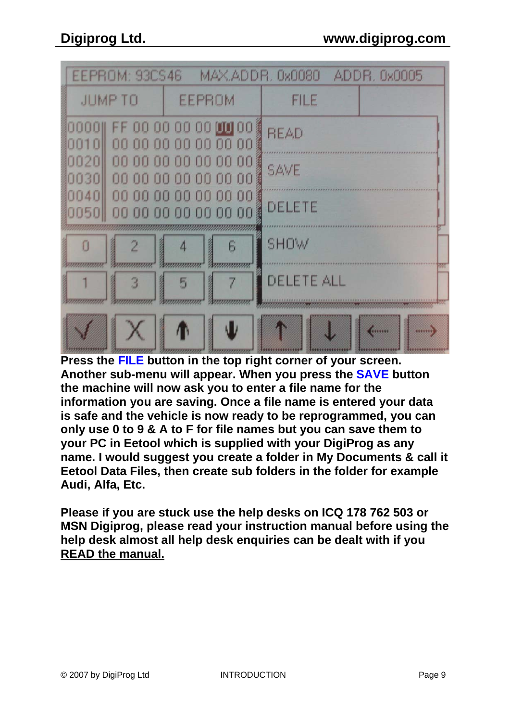

**Press the FILE button in the top right corner of your screen. Another sub-menu will appear. When you press the SAVE button the machine will now ask you to enter a file name for the information you are saving. Once a file name is entered your data is safe and the vehicle is now ready to be reprogrammed, you can only use 0 to 9 & A to F for file names but you can save them to your PC in Eetool which is supplied with your DigiProg as any name. I would suggest you create a folder in My Documents & call it Eetool Data Files, then create sub folders in the folder for example Audi, Alfa, Etc.** 

**Please if you are stuck use the help desks on ICQ 178 762 503 or MSN Digiprog, please read your instruction manual before using the help desk almost all help desk enquiries can be dealt with if you READ the manual.**